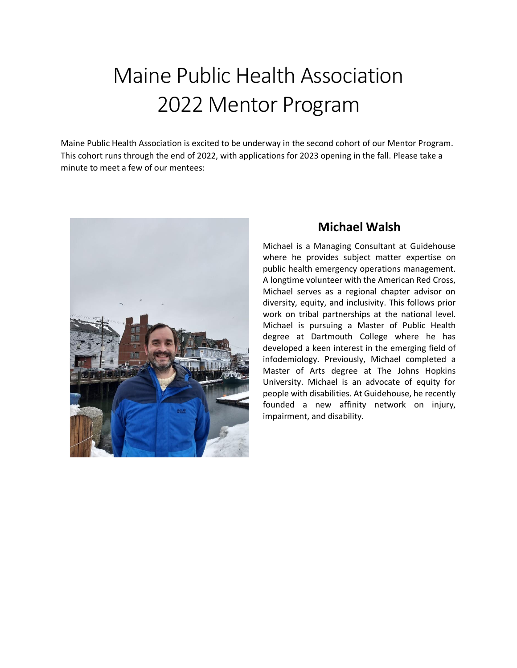# Maine Public Health Association 2022 Mentor Program

Maine Public Health Association is excited to be underway in the second cohort of our Mentor Program. This cohort runs through the end of 2022, with applications for 2023 opening in the fall. Please take a minute to meet a few of our mentees:



## **Michael Walsh**

Michael is a Managing Consultant at Guidehouse where he provides subject matter expertise on public health emergency operations management. A longtime volunteer with the American Red Cross, Michael serves as a regional chapter advisor on diversity, equity, and inclusivity. This follows prior work on tribal partnerships at the national level. Michael is pursuing a Master of Public Health degree at Dartmouth College where he has developed a keen interest in the emerging field of infodemiology. Previously, Michael completed a Master of Arts degree at The Johns Hopkins University. Michael is an advocate of equity for people with disabilities. At Guidehouse, he recently founded a new affinity network on injury, impairment, and disability.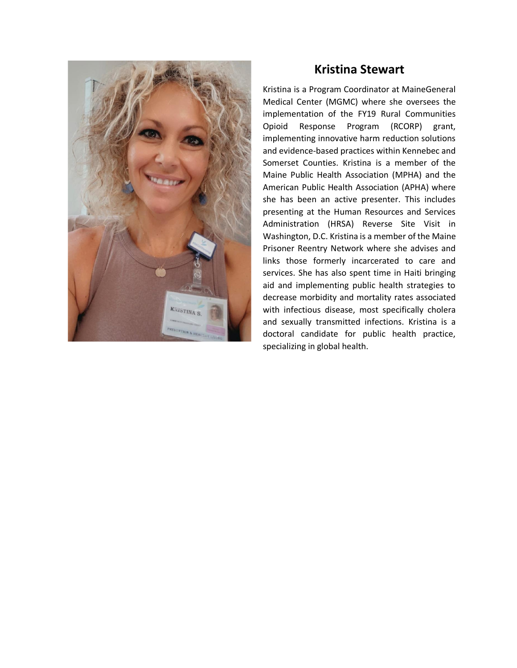

#### **Kristina Stewart**

Kristina is a Program Coordinator at MaineGeneral Medical Center (MGMC) where she oversees the implementation of the FY19 Rural Communities Opioid Response Program (RCORP) grant, implementing innovative harm reduction solutions and evidence-based practices within Kennebec and Somerset Counties. Kristina is a member of the Maine Public Health Association (MPHA) and the American Public Health Association (APHA) where she has been an active presenter. This includes presenting at the Human Resources and Services Administration (HRSA) Reverse Site Visit in Washington, D.C. Kristina is a member of the Maine Prisoner Reentry Network where she advises and links those formerly incarcerated to care and services. She has also spent time in Haiti bringing aid and implementing public health strategies to decrease morbidity and mortality rates associated with infectious disease, most specifically cholera and sexually transmitted infections. Kristina is a doctoral candidate for public health practice, specializing in global health.